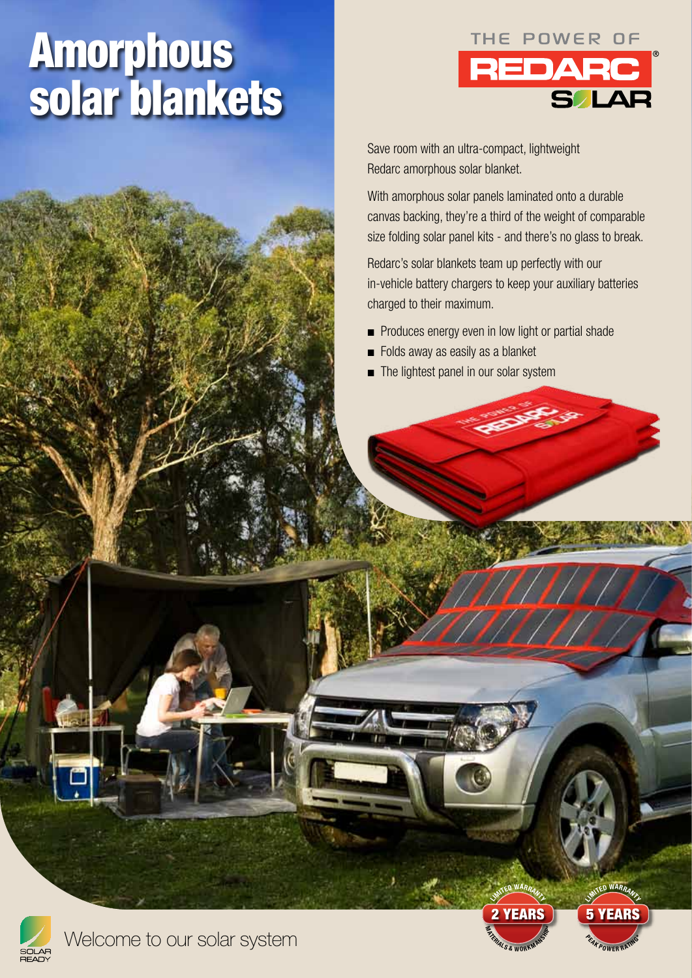# Amorphous solar blankets



Save room with an ultra-compact, lightweight Redarc amorphous solar blanket.

With amorphous solar panels laminated onto a durable canvas backing, they're a third of the weight of comparable size folding solar panel kits - and there's no glass to break.

Redarc's solar blankets team up perfectly with our in-vehicle battery chargers to keep your auxiliary batteries charged to their maximum.

- Produces energy even in low light or partial shade
- Folds away as easily as a blanket
- The lightest panel in our solar system





LIMITED WARRANTY 5 YEARS

**PEAK POWER RATING**